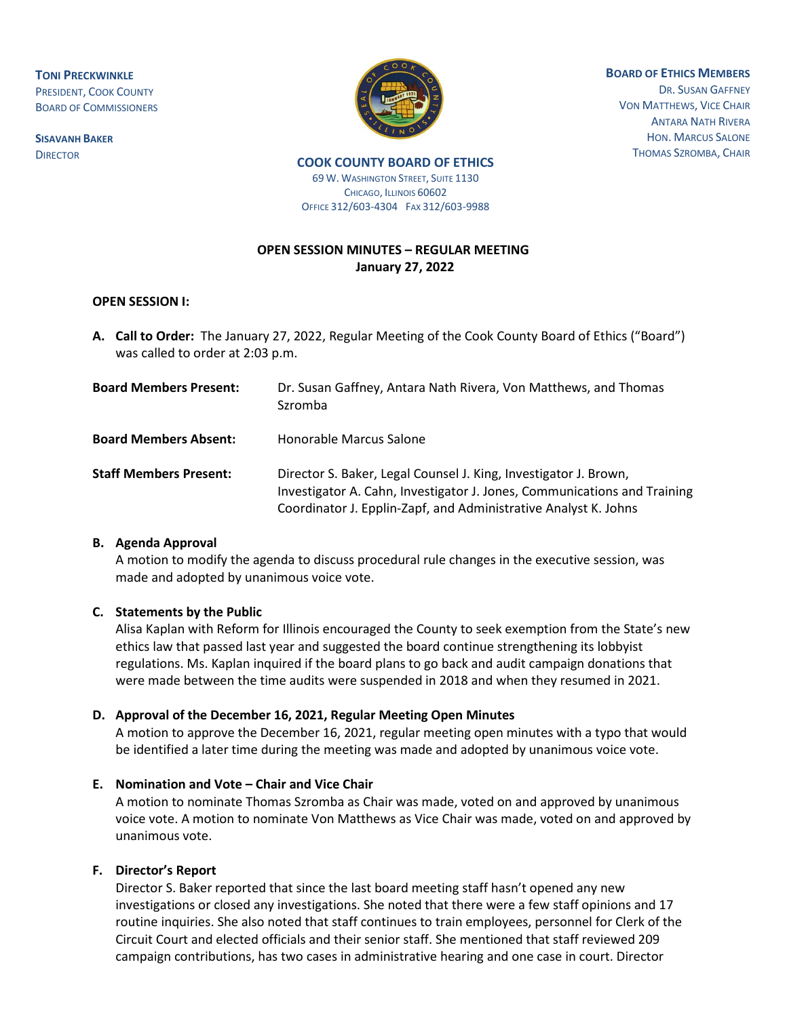**TONI PRECKWINKLE** PRESIDENT, COOK COUNTY BOARD OF COMMISSIONERS

**SISAVANH BAKER**



**BOARD OF ETHICS MEMBERS** DR. SUSAN GAFFNEY VON MATTHEWS, VICE CHAIR ANTARA NATH RIVERA HON. MARCUS SALONE THOMAS SZROMBA, CHAIR

**DIRECTOR COOK COUNTY BOARD OF ETHICS 69 W. WASHINGTON STREET, SUITE 1130** CHICAGO, ILLINOIS 60602

OFFICE 312/603-4304 FAX 312/603-9988

# **OPEN SESSION MINUTES – REGULAR MEETING January 27, 2022**

#### **OPEN SESSION I:**

**A. Call to Order:** The January 27, 2022, Regular Meeting of the Cook County Board of Ethics ("Board") was called to order at 2:03 p.m.

| <b>Board Members Present:</b> | Dr. Susan Gaffney, Antara Nath Rivera, Von Matthews, and Thomas<br>Szromba                                                                                                                                      |
|-------------------------------|-----------------------------------------------------------------------------------------------------------------------------------------------------------------------------------------------------------------|
| <b>Board Members Absent:</b>  | Honorable Marcus Salone                                                                                                                                                                                         |
| <b>Staff Members Present:</b> | Director S. Baker, Legal Counsel J. King, Investigator J. Brown,<br>Investigator A. Cahn, Investigator J. Jones, Communications and Training<br>Coordinator J. Epplin-Zapf, and Administrative Analyst K. Johns |

#### **B. Agenda Approval**

A motion to modify the agenda to discuss procedural rule changes in the executive session, was made and adopted by unanimous voice vote.

#### **C. Statements by the Public**

Alisa Kaplan with Reform for Illinois encouraged the County to seek exemption from the State's new ethics law that passed last year and suggested the board continue strengthening its lobbyist regulations. Ms. Kaplan inquired if the board plans to go back and audit campaign donations that were made between the time audits were suspended in 2018 and when they resumed in 2021.

#### **D. Approval of the December 16, 2021, Regular Meeting Open Minutes**

A motion to approve the December 16, 2021, regular meeting open minutes with a typo that would be identified a later time during the meeting was made and adopted by unanimous voice vote.

#### **E. Nomination and Vote – Chair and Vice Chair**

A motion to nominate Thomas Szromba as Chair was made, voted on and approved by unanimous voice vote. A motion to nominate Von Matthews as Vice Chair was made, voted on and approved by unanimous vote.

#### **F. Director's Report**

Director S. Baker reported that since the last board meeting staff hasn't opened any new investigations or closed any investigations. She noted that there were a few staff opinions and 17 routine inquiries. She also noted that staff continues to train employees, personnel for Clerk of the Circuit Court and elected officials and their senior staff. She mentioned that staff reviewed 209 campaign contributions, has two cases in administrative hearing and one case in court. Director